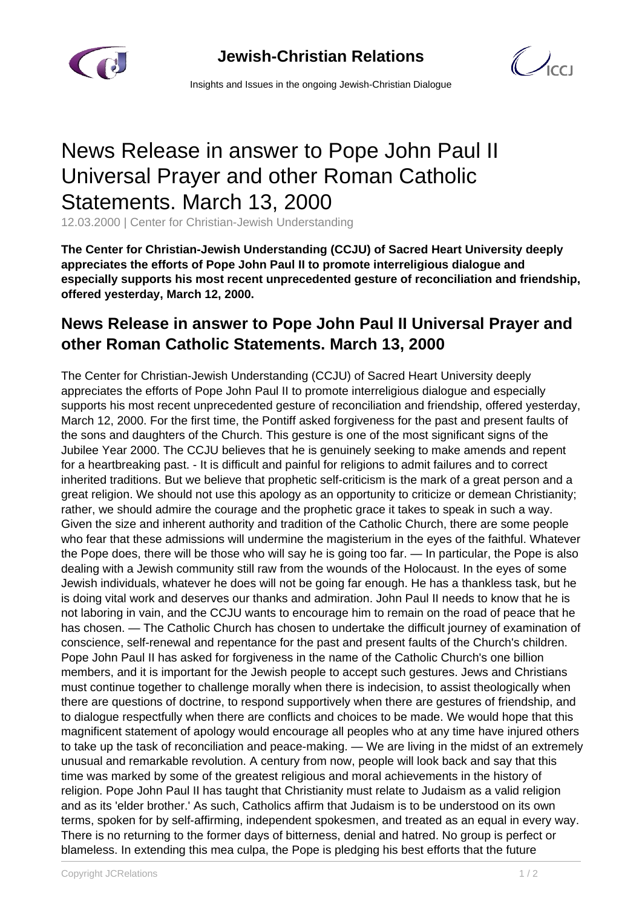

**Jewish-Christian Relations**

 $\bigcup_{C}$ 

Insights and Issues in the ongoing Jewish-Christian Dialogue

## News Release in answer to Pope John Paul II Universal Prayer and other Roman Catholic Statements. March 13, 2000

12.03.2000 | Center for Christian-Jewish Understanding

**The Center for Christian-Jewish Understanding (CCJU) of Sacred Heart University deeply appreciates the efforts of Pope John Paul II to promote interreligious dialogue and especially supports his most recent unprecedented gesture of reconciliation and friendship, offered yesterday, March 12, 2000.**

## **News Release in answer to Pope John Paul II Universal Prayer and other Roman Catholic Statements. March 13, 2000**

The Center for Christian-Jewish Understanding (CCJU) of Sacred Heart University deeply appreciates the efforts of Pope John Paul II to promote interreligious dialogue and especially supports his most recent unprecedented gesture of reconciliation and friendship, offered yesterday, March 12, 2000. For the first time, the Pontiff asked forgiveness for the past and present faults of the sons and daughters of the Church. This gesture is one of the most significant signs of the Jubilee Year 2000. The CCJU believes that he is genuinely seeking to make amends and repent for a heartbreaking past. - It is difficult and painful for religions to admit failures and to correct inherited traditions. But we believe that prophetic self-criticism is the mark of a great person and a great religion. We should not use this apology as an opportunity to criticize or demean Christianity; rather, we should admire the courage and the prophetic grace it takes to speak in such a way. Given the size and inherent authority and tradition of the Catholic Church, there are some people who fear that these admissions will undermine the magisterium in the eyes of the faithful. Whatever the Pope does, there will be those who will say he is going too far. — In particular, the Pope is also dealing with a Jewish community still raw from the wounds of the Holocaust. In the eyes of some Jewish individuals, whatever he does will not be going far enough. He has a thankless task, but he is doing vital work and deserves our thanks and admiration. John Paul II needs to know that he is not laboring in vain, and the CCJU wants to encourage him to remain on the road of peace that he has chosen. — The Catholic Church has chosen to undertake the difficult journey of examination of conscience, self-renewal and repentance for the past and present faults of the Church's children. Pope John Paul II has asked for forgiveness in the name of the Catholic Church's one billion members, and it is important for the Jewish people to accept such gestures. Jews and Christians must continue together to challenge morally when there is indecision, to assist theologically when there are questions of doctrine, to respond supportively when there are gestures of friendship, and to dialogue respectfully when there are conflicts and choices to be made. We would hope that this magnificent statement of apology would encourage all peoples who at any time have injured others to take up the task of reconciliation and peace-making. — We are living in the midst of an extremely unusual and remarkable revolution. A century from now, people will look back and say that this time was marked by some of the greatest religious and moral achievements in the history of religion. Pope John Paul II has taught that Christianity must relate to Judaism as a valid religion and as its 'elder brother.' As such, Catholics affirm that Judaism is to be understood on its own terms, spoken for by self-affirming, independent spokesmen, and treated as an equal in every way. There is no returning to the former days of bitterness, denial and hatred. No group is perfect or blameless. In extending this mea culpa, the Pope is pledging his best efforts that the future